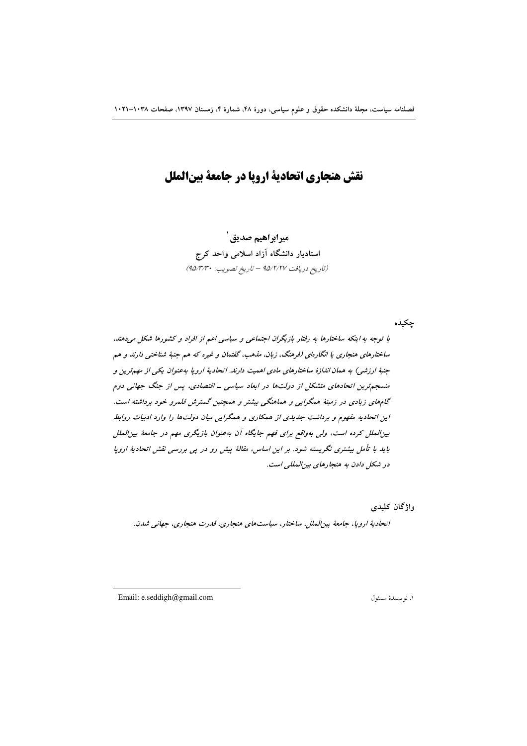# نقش هنجاري اتحادية ارويا در جامعة بينالملل

**ميرابراهيم صديق `** استادیار دانشگاه آزاد اسلامی واحد کرج (تاريخ دريافت ٩٥/٢/٢٧ - تاريخ تصويب: ٩٥/٣/٣٠)

چکیده

با توجه به اینکه ساختارها به رفتار بازیگران اجتماعی و سیاسی اعم از افراد و کشورها شکل میدهند. ساختارهای هنجاری یا انگارهای (فرهنگ، زبان، مذهب، گفتمان و غیره که هم جنبهٔ شناختی دارند و هم جنبهٔ ارزشی) به همان اندازهٔ ساختارهای مادی اهمیت دارند. اتحادیهٔ اروپا بهعنوان یکی از مهمترین و منسجمترین اتحادهای متشکل از دولتها در ابعاد سیاسی ـ اقتصادی، پس از جنگ جهانی دوم گامهای زیادی در زمینهٔ ممگرایی و مماهنگی بیشتر و ممچنین گسترش قلمرو خود برداشته است. این اتحادیه مفهوم و برداشت جدیدی از همکاری و همگرایی میان دولتها را وارد ادبیات روابط بین لملل کرده است، ولی بهواقع برای فهم جایگاه آن به عنوان بازیگری مهم در جامعهٔ بین للملل باید با تأمل بیشتری نگریسته شود. بر این اساس، مقالهٔ پیش رو در پی بررسی نقش اتحادیهٔ اروپا در شکل دادن به هنجارهای بین المللی است.

واژگان کليدي

انحاديۀ اروپا، جامعۀ بينالملل، ساختار، سياستهاي هنجاري، قدرت هنجاري، جهاني شدن.

Email: e.seddigh@gmail.com

١. نو يسندهٔ مسئول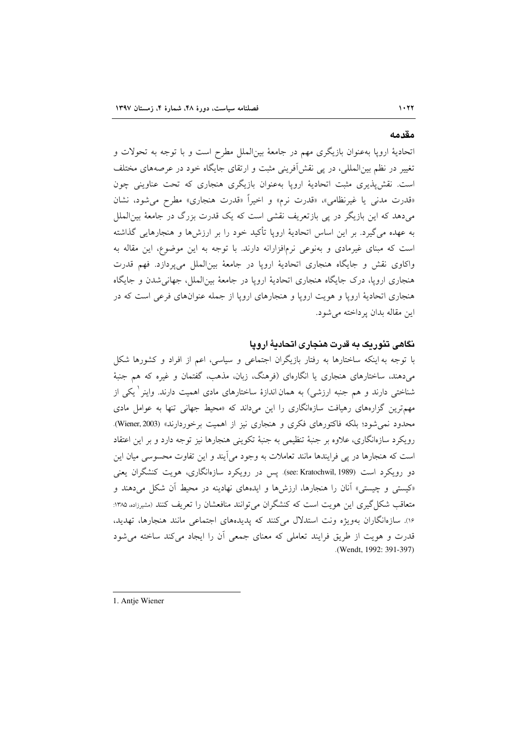#### مقدمه

اتحادیهٔ اروپا بهعنوان بازیگری مهم در جامعهٔ بین|لملل مطرح است و با توجه به تحولات و تغییر در نظم بین|لمللی، در پی نقش|فرینی مثبت و ارتقای جایگاه خود در عرصههای مختلف است. نقشپذیری مثبت اتحادیهٔ اروپا بهعنوان بازیگری هنجاری که تحت عناوینی چون «قدرت مدنی یا غیرنظامی»، «قدرت نرم» و اخیراً «قدرت هنجاری» مطرح می شود، نشان میدهد که این بازیگر در پی بازتعریف نقشی است که یک قدرت بزرگ در جامعهٔ بین|لملل به عهده می گیرد. بر این اساس اتحادیهٔ اروپا تأکید خود را بر ارزش۵ها و هنجارهایی گذاشته است که مبنای غیرمادی و بهنوعی نرمافزارانه دارند. با توجه به این موضوع، این مقاله به واکاوی نقش و جایگاه هنجاری اتحادیهٔ اروپا در جامعهٔ بینالملل میپردازد. فهم قدرت هنجاری اروپا، درک جایگاه هنجاری اتحادیهٔ اروپا در جامعهٔ بین|لملل، جهانیشدن و جایگاه هنجاري اتحاديۀ اروپا و هويت اروپا و هنجارهاي اروپا از جمله عنوانهاي فرعي است كه در اين مقاله بدان يرداخته مي شود.

#### نگاهی تئوریک به قدرت هنجاری اتحادیهٔ اروپا

با توجه به اینکه ساختارها به رفتار بازیگران اجتماعی و سیاسی، اعم از افراد و کشورها شکل میدهند، ساختارهای هنجاری یا انگارهای (فرهنگ، زبان، مذهب، گفتمان و غیره که هم جنبهٔ شناختی دارند و هم جنبه ارزشی) به همان اندازهٔ ساختارهای مادی اهمیت دارند. واینر <sup>۱</sup> یکی از مهم ترین گزارههای رهیافت سازهانگاری را این میداند که «محیط جهانی تنها به عوامل مادی محدود نمي شود؛ بلكه فاكتورهاي فكري و هنجاري نيز از اهميت برخوردارند» (Wiener, 2003). رویکرد سازهانگاری، علاوه بر جنبهٔ تنظیمی به جنبهٔ تکوینی هنجارها نیز توجه دارد و بر این اعتقاد است که هنجارها در پی فرایندها مانند تعاملات به وجود می آیند و این تفاوت محسوسی میان این دو رویکرد است (see: Kratochwil, 1989). پس در رویکرد سازمانگاری، هویت کنشگران یعنی «کیستی و چیستی» آنان را هنجارها، ارزشها و ایدههای نهادینه در محیط آن شکل میدهند و متعاقب شکل گیری این هویت است که کنشگران می توانند منافعشان را تعریف کنند (مشیرزاده ۱۳۸۵: ١۶٪. سازهانگاران بهویژه ونت استدلال میکنند که پدیدههای اجتماعی مانند هنجارها، تهدید، قدرت و هويت از طريق فرايند تعاملي كه معناى جمعى آن را ايجاد مى كند ساخته مى شود (Wendt, 1992: 391-397)

1. Antje Wiener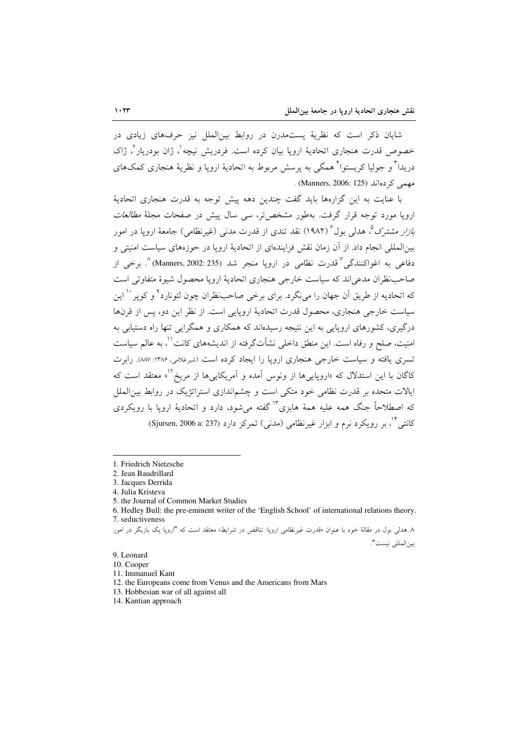شایان ذکر است که نظریهٔ پستمدرن در روابط بین(لملل نیز حرفهای زیادی در خصوص قدرت هنجاری اتحادیهٔ اروپا بیان کرده است. فردریش نیچه <sup>۱</sup>، ژان بودربار <sup>۲</sup>، ژاک دریدا" و جولیا کریستوا" همگی به پرسش مربوط به اتحادیهٔ اروپا و نظریهٔ هنجاری کمکهای مهمی کے دہاند (Manners, 2006: 125).

با عنایت به این گزارهها باید گفت چندین دهه پیش توجه به قدرت هنجاری اتحادیهٔ اروپا مورد توجه قرار گرفت. بهطور مشخص تر، سب<sub>ی</sub> سال پیش در صفحات مجلهٔ *مطالعات نازار مشترک °*، هدلی یول<sup>۶</sup> (۱۹۸۲) نقد تندی از قدرت مدنی (غیرنظامی) جامعهٔ اروپا در امور بین|لمللی انجام داد. از آن زمان نقش فزایندهای از اتحادیهٔ اروپا در حوزههای سیاست امنیتی و دفاعي به اغواكنندگي<sup>√</sup>قدرت نظامي در اروپا منجر شد (Manners, 2002: 235)^. برخي از صاحب نظر ان مدعی اند که سیاست خارجی هنجاری اتحادیهٔ اروپا محصول شبوهٔ متفاوتی است که اتحادیه از طریق آن جهان را می نگرد. برای برخی صاحب نظران چون لئونارد<sup>۹</sup> و کویر <sup>۱۰</sup> این سیاست خارجی هنجاری، محصول قدرت اتحادیهٔ اروپایی است. از نظر این دو، پس از قرنها درگیری، کشورهای اروپایی به این نتیجه رسیدهاند که همکاری و همگرایی تنها راه دستیابی به امنیت، صلح و رفاه است. این منطق داخلی نشأتگرفته از اندیشههای کانت ``، به عالم سیاست تسری یافته و سیاست خارجی هنجاری اروپا را ایجاد کرده است (شیرغلامی، ۱۳۸۶: ۸۸۷). رابرت کاگان با این استدلال که «اروپاییها از ونوس آمده و آمریکاییها از مریخ<sup>۱۲</sup>» معتقد است که ایالات متحده بر قدرت نظامی خود متکی است و چشماندازی استراتژیک در روابط بین الملل که اصطلاحاً جنگ همه علیه همهٔ هابزیٌ" گفته میشود، دارد و اتحادیهٔ اروپا با رویکردی کانتي <sup>۱۴</sup>، پر رويکرد نړم و ابزار غيرنظامي (مدني) تمرکز دارد (Sjursen, 2006 a: 237).

9. Leonard

<sup>1.</sup> Friedrich Nietzsche

<sup>2.</sup> Jean Baudrillard 3. Jacques Derrida

<sup>4.</sup> Julia Kristeva

<sup>5.</sup> the Journal of Common Market Studies

<sup>6.</sup> Hedley Bull: the pre-eminent writer of the 'English School' of international relations theory. 7. seductiveness

۸. هدلی بول در مقالهٔ خود یا عنوان «قدرت غیرنظامی اروپا: تناقض در شرایط» معتقد است که "اروپا یک بازیگر در امور بين المللي نيست".

<sup>10.</sup> Cooper

<sup>11.</sup> Immanuel Kant

<sup>12.</sup> the Europeans come from Venus and the Americans from Mars

<sup>13.</sup> Hobbesian war of all against all

<sup>14.</sup> Kantian approach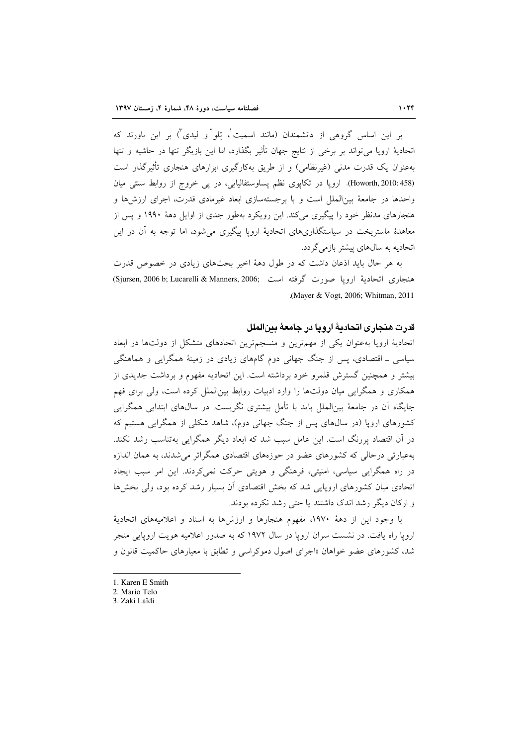بر این اساس گروهی از دانشمندان (مانند اسمیت<sup>י</sup>، تلو<sup>۲</sup>و لیدی<sup>۳</sup>) بر این باورند که اتحادیهٔ اروپا میتواند بر برخی از نتایج جهان تأثیر بگذارد، اما این بازیگر تنها در حاشیه و تنها بهعنوان یک قدرت مدنی (غیرنظامی) و از طریق بهکارگیری ابزارهای هنجاری تأثیرگذار است (Howorth, 2010: 458). ارویا در تکایوی نظم پساوستفالیایی، در یی خروج از روابط سنتی میان واحدها در جامعهٔ بین|لملل است و با برجستهسازی ابعاد غیرمادی قدرت، اجرای ارزش۵ها و هنجارهای مدنظر خود را پیگیری میکند. این رویکرد بهطور جدی از اوایل دههٔ ۱۹۹۰ و پس از معاهدهٔ ماستریخت در سیاستگذاریهای اتحادیهٔ اروپا پیگیری می شود، اما توجه به آن در این اتحادیه به سالهای پیشتر بازمی گردد.

به هر حال باید اذعان داشت که در طول دههٔ اخیر بحثهای زیادی در خصوص قدرت هنجاري اتحادية ارويا صورت گرفته است .Sjursen, 2006 b; Lucarelli & Manners, 2006) (Mayer & Vogt, 2006; Whitman, 2011).

## قدرت هنجاري اتحادية ارويا در جامعة بينالملل

اتحادیهٔ اروپا بهعنوان یکی از مهمترین و منسجمترین اتحادهای متشکل از دولتها در ابعاد سیاسی ـ اقتصادی، پس از جنگ جهانی دوم گامهای زیادی در زمینهٔ همگرایی و هماهنگی بیشتر و همچنین گسترش قلمرو خود برداشته است. این اتحادیه مفهوم و برداشت جدیدی از همکاری و همگرایی میان دولتها را وارد ادبیات روابط بین الملل کرده است، ولی برای فهم جایگاه آن در جامعهٔ بین|لملل باید با تأمل بیشتری نگریست. در سالهای ابتدایی همگرایی کشورهای اروپا (در سالهای پس از جنگ جهانی دوم)، شاهد شکلی از همگرایی هستیم که در آن اقتصاد پررنگ است. این عامل سبب شد که ابعاد دیگر همگرایی بهتناسب رشد نکند. بهعبارتی درحالی که کشورهای عضو در حوزههای اقتصادی همگراتر می شدند، به همان اندازه در راه همگرایی سیاسی، امنیتی، فرهنگی و هویتی حرکت نمی کردند. این امر سبب ایجاد اتحادی میان کشورهای اروپایی شد که بخش اقتصادی آن بسیار رشد کرده بود، ولی بخشها و ارکان دیگر رشد اندک داشتند یا حتی رشد نکرده بودند.

با وجود این از دههٔ ۱۹۷۰، مفهوم هنجارها و ارزشها به اسناد و اعلامیههای اتحادیهٔ اروپا راه یافت. در نشست سران اروپا در سال ۱۹۷۲ که به صدور اعلامیه هویت اروپایی منجر شد، کشورهای عضو خواهان «اجرای اصول دموکراسی و تطابق با معیارهای حاکمیت قانون و

- 1. Karen E Smith
- 2. Mario Telo
- 3. Zaki Laïdi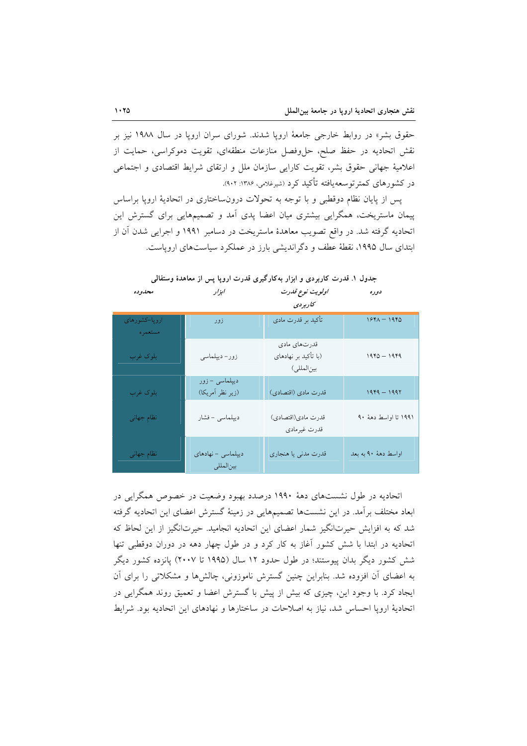حقوق بشر» در روابط خارجی جامعهٔ اروپا شدند. شورای سران اروپا در سال ۱۹۸۸ نیز بر نقش اتحادیه در حفظ صلح، حل وفصل منازعات منطقهای، تقویت دموکراسی، حمایت از اعلامیهٔ جهانی حقوق بشر، تقویت کارایی سازمان ملل و ارتقای شرایط اقتصادی و اجتماعی در کشورهای کمتر توسعهپافته تأکید کرد (شیرغلامی، ۱۳۸۶: ۹۰۲).

پس از پایان نظام دوقطبی و با توجه به تحولات درونساختاری در اتحادیهٔ اروپا براساس پیمان ماستریخت، همگرایی بیشتری میان اعضا پدی آمد و تصمیمهایی برای گسترش این اتحادیه گرفته شد. در واقع تصویب معاهدهٔ ماستریخت در دسامبر ۱۹۹۱ و اجرایی شدن آن از ابتدای سال ۱۹۹۵، نقطهٔ عطف و دگراندیشی بارز در عملکرد سیاستهای اروپاست.

| مصدوحه                   | ، بر ر                             | ''ویویٹ تونخ صدرت<br>كاربردى                        | دوره                  |
|--------------------------|------------------------------------|-----------------------------------------------------|-----------------------|
| ارویا–کشورهای<br>مستعمره | زور                                | تأكيد بر قدرت مادى                                  | $1541 - 1940$         |
| بلوك غرب                 | زور- ديپلماسي                      | قدرتهاى مادى<br>(با تأكيد بر نهادهاي<br>بين المللي) | $1940 - 1949$         |
| بلوک غرب                 | دیپلماسی – زور<br>(زير نظر أمريكا) | قدرت مادي (اقتصادي)                                 | $1949 - 1997$         |
| نظام جهانى               | ديپلماسي - فشار                    | قدرت مادي(اقتصادي)<br>قدرت غيرمادي                  | ۱۹۹۱ تا اواسط دههٔ ۹۰ |
| نظام جهاني               | ديپلماسي - نهادهاي<br>بينالمللي    | قدرت مدنى يا هنجارى                                 | اواسط دههٔ ۹۰ به بعد  |

جدول ۱. قدرت کاربردی و ابزار بهکارگیری قدرت اروپا پس از معاهدهٔ وستفالی

 $\mathbf{r}$   $\mathbf{r}$   $\mathbf{r}$   $\mathbf{r}$   $\mathbf{r}$   $\mathbf{r}$   $\mathbf{r}$ 

 $\mathcal{L}$ 

اتحادیه در طول نشستهای دههٔ ۱۹۹۰ درصدد بهبود وضعیت در خصوص همگرایی در ابعاد مختلف برأمد. در این نشستها تصمیمهایی در زمینهٔ گسترش اعضای این اتحادیه گرفته شد که به افزایش حیرتانگیز شمار اعضای این اتحادیه انجامید. حیرتانگیز از این لحاظ که اتحادیه در ابتدا با شش کشور آغاز به کار کرد و در طول چهار دهه در دوران دوقطبی تنها شش کشور دیگر بدان پیوستند؛ در طول حدود ۱۲ سال (۱۹۹۵ تا ۲۰۰۷) پانزده کشور دیگر به اعضای آن افزوده شد. بنابراین چنین گسترش ناموزونی، چالشها و مشکلاتی را برای آن ایجاد کرد. با وجود این، چیزی که بیش از پیش با گسترش اعضا و تعمیق روند همگرایی در اتحادیهٔ اروپا احساس شد، نیاز به اصلاحات در ساختارها و نهادهای این اتحادیه بود. شرایط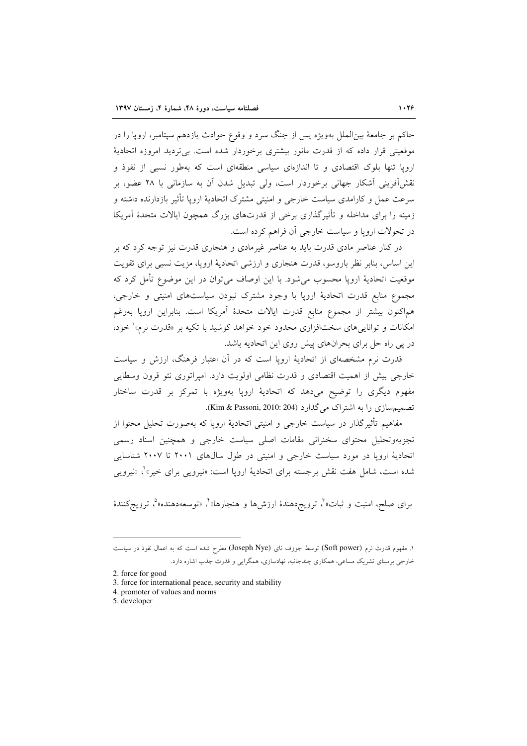حاکم بر جامعهٔ بینالملل بهویژه پس از جنگ سرد و وقوع حوادث یازدهم سپتامبر، اروپا را در موقعیتی قرار داده که از قدرت مانور بیشتری برخوردار شده است. بی تردید امروزه اتحادیهٔ اروپا تنها بلوک اقتصادی و تا اندازهای سیاسی منطقهای است که بهطور نسبی از نفوذ و نقش[فرینی آشکار جهانی برخوردار است، ولی تبدیل شدن آن به سازمانی با ۲۸ عضو، بر سرعت عمل و کارامدی سیاست خارجی و امنیتی مشترک اتحادیهٔ اروپا تأثیر بازدارنده داشته و زمینه را برای مداخله و تأثیرگذاری برخی از قدرتهای بزرگ همچون ایالات متحدهٔ آمریکا در تحولات اروپا و سیاست خارجی آن فراهم کرده است.

در کنار عناصر مادی قدرت باید به عناصر غیرمادی و هنجاری قدرت نیز توجه کرد که بر این اساس، بنابر نظر باروسو، قدرت هنجاری و ارزشی اتحادیهٔ اروپا، مزیت نسبی برای تقویت موقعیت اتحادیهٔ اروپا محسوب می شود. با این اوصاف می توان در این موضوع تأمل کرد که مجموع منابع قدرت اتحادیهٔ اروپا با وجود مشترک نبودن سیاستهای امنیتی و خارجی، هماكنون بيشتر از مجموع منابع قدرت ايالات متحدهٔ أمريكا است. بنابراين اروپا بهرغم امکانات و توانایی های سختافزاری محدود خود خواهد کوشید با تکیه بر «قدرت نرم»<sup>(</sup> خود، در یی راه حل برای بحرانهای پیش روی این اتحادیه باشد.

قدرت نرم مشخصهای از اتحادیهٔ اروپا است که در آن اعتبار فرهنگ، ارزش و سیاست خارجی بیش از اهمیت اقتصادی و قدرت نظامی اولویت دارد. امپراتوری نئو قرون وسطایی مفهوم دیگری را توضیح میدهد که اتحادیهٔ اروپا بهویژه با تمرکز بر قدرت ساختار تصمیمسازی را به اشتراک می گذارد (Kim & Passoni, 2010: 204).

مفاهیم تأثیرگذار در سیاست خارجی و امنیتی اتحادیهٔ اروپا که بهصورت تحلیل محتوا از تجزیهوتحلیل محتوای سخنرانی مقامات اصلی سیاست خارجی و همچنین اسناد رسمی اتحادیهٔ اروپا در مورد سیاست خارجی و امنیتی در طول سالهای ۲۰۰۱ تا ۲۰۰۷ شناسایی شده است، شامل هفت نقش برجسته براي اتحاديهٔ اروپا است: «نيرويي براي خير»٬ «نيرويي

برای صلح، امنیت و ثبات»<sup>م</sup>، ترویج<sup>ر</sup>هندهٔ ارزشها و هنجارها»<sup>م</sup>، «توسعهدهنده»<sup>م</sup>، ترویجکنندهٔ

۱. مفهوم قدرت نرم (Soft power) توسط جوزف نای (Joseph Nye) مطرح شده است که به اعمال نفوذ در سیاست خارجی برمبنای تشریک مساعی، همکاری چندجانبه، نهادسازی، همگرایی و قدرت جذب اشاره دارد.

<sup>2.</sup> force for good

<sup>3.</sup> force for international peace, security and stability

<sup>4.</sup> promoter of values and norms

<sup>5.</sup> developer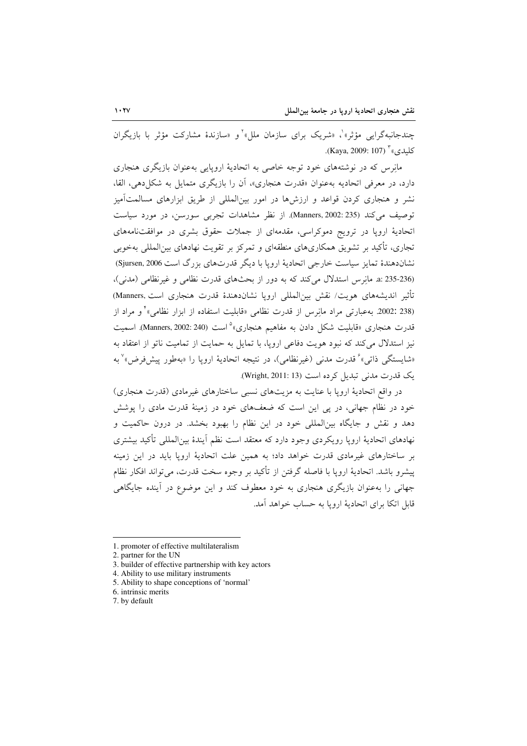چندجانبهگرایی مؤثر»<sup>۹</sup>، «شریک برای سازمان ملل»<sup>۲</sup>و «سازندهٔ مشارکت مؤثر با بازیگران كلىدى،" (Kaya, 2009: 107).

مانِرس که در نوشتههای خود توجه خاصی به اتحادیهٔ اروپایی بهعنوان بازیگری هنجاری دارد، در معرفی اتحادیه بهعنوان «قدرت هنجاری»، آن را بازیگری متمایل به شکل دهی، القا، نشر و هنجاری کردن قواعد و ارزش۵ها در امور بینالمللی از طریق ابزارهای مسالمتآمیز توصيف مي كند (235 :2002 Manners). از نظر مشاهدات تجربي سورسن، در مورد سياست اتحادیهٔ اروپا در ترویج دموکراسی، مقدمهای از جملات حقوق بشری در موافقتنامههای تجاري، تأکید بر تشویق همکاريهاي منطقهاي و تمرکز بر تقویت نهادهاي بین|لمللي بهخوبي نشاندهندهٔ تمایز سیاست خارجی اتحادیهٔ اروپا با دیگر قدرتهای بزرگ است Sjursen, 2006) (236-235 :a. مانوس استدلال می کند که به دور از بحثهای قدرت نظامی و غیرنظامی (مدنی)، تأثیر اندیشههای هویت/ نقش بین|لمللی اروپا نشاندهندهٔ قدرت هنجاری است.(Manners) (238 :2002. بەعبارتى مراد مانِرس از قدرت نظامى «قابليت استفاده از ابزار نظامى»<sup>،</sup> و مراد از قدرت هنجاری «قابلیت شکل دادن به مفاهیم هنجاری» است (Manners, 2002: 240). اسمیت نیز استدلال می کند که نبود هویت دفاعی اروپا، با تمایل به حمایت از تمامیت ناتو از اعتقاد به «شايستگي ذاتي» ْ قدرت مدني (غيرنظامي)، در نتيجه اتحاديهٔ اروپا را «بهطور پيش فرض» ْ به یک قدرت مدنی تبدیل کرده است (Wright, 2011: 13).

در واقع اتحادیهٔ اروپا با عنایت به مزیتهای نسبی ساختارهای غیرمادی (قدرت هنجاری) خود در نظام جهانی، در پی این است که ضعفهای خود در زمینهٔ قدرت مادی را پوشش دهد و نقش و جایگاه بینالمللی خود در این نظام را بهبود بخشد. در درون حاکمیت و نهادهای اتحادیهٔ اروپا رویکردی وجود دارد که معتقد است نظم آیندهٔ بین|لمللی تأکید بیشتری بر ساختارهای غیرمادی قدرت خواهد داد؛ به همین علت اتحادیهٔ اروپا باید در این زمینه پیشرو باشد. اتحادیهٔ اروپا با فاصله گرفتن از تأکید بر وجوه سخت قدرت، می تواند افکار نظام جهانی را بهعنوان بازیگری هنجاری به خود معطوف کند و این موضوع در آینده جایگاهی قابل اتکا برای اتحادیهٔ اروپا به حساب خواهد آمد.

<sup>1.</sup> promoter of effective multilateralism

<sup>2.</sup> partner for the UN

<sup>3.</sup> builder of effective partnership with key actors

<sup>4.</sup> Ability to use military instruments

<sup>5.</sup> Ability to shape conceptions of 'normal'

<sup>6.</sup> intrinsic merits

<sup>7.</sup> by default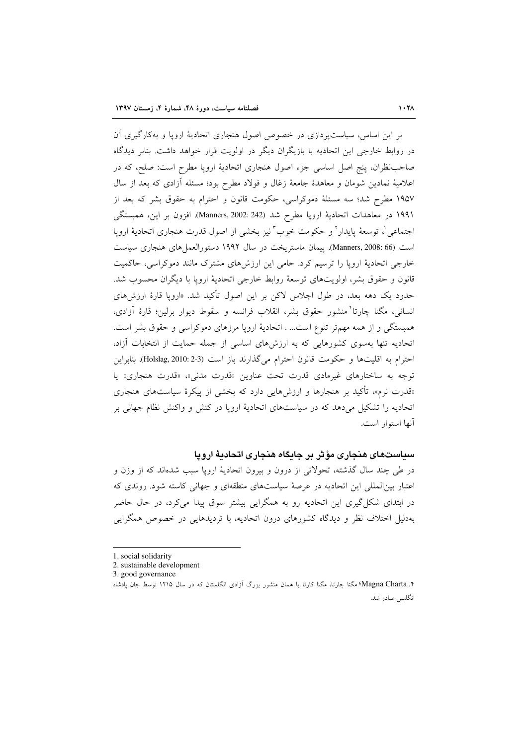بر این اساس، سیاست پردازی در خصوص اصول هنجاری اتحادیهٔ اروپا و بهکارگیری آن در روابط خارجی این اتحادیه با بازیگران دیگر در اولویت قرار خواهد داشت. بنابر دیدگاه صاحب نظران، پنج اصل اساسی جزء اصول هنجاری اتحادیهٔ اروپا مطرح است: صلح، که در اعلامیهٔ نمادین شومان و معاهدهٔ جامعهٔ زغال و فولاد مطرح بود؛ مسئله آزادی که بعد از سال ۱۹۵۷ مطرح شد؛ سه مسئلهٔ دموکراسی، حکومت قانون و احترام به حقوق بشر که بعد از ۱۹۹۱ در معاهدات اتحادیهٔ اروپا مطرح شد (Manners, 2002: 242). افزون بر این، همبستگی اجتماعي'، توسعهٔ پايدار' و حکومت خوب ؓ نيز بخشي از اصول قدرت هنجاري اتحاديهٔ اروپا است (66 :Manners, 2008). ييمان ماستريخت در سال ١٩٩٢ دستورالعمل هاي هنجاري سياست خارجی اتحادیهٔ اروپا را ترسیم کرد. حامی این ارزشهای مشترک مانند دموکراسی، حاکمیت قانون و حقوق بشر، اولويتهاى توسعهٔ روابط خارجى اتحاديهٔ اروپا با ديگران محسوب شد. حدود یک دهه بعد، در طول اجلاس لاکن بر این اصول تأکید شد. «اروپا قارهٔ ارزش های انسانی، مگنا چارتاً منشور حقوق بشر، انقلاب فرانسه و سقوط دیوار برلین؛ قارهٔ آزادی، همبستگی و از همه مهمتر تنوع است... . اتحادیهٔ اروپا مرزهای دموکراسی و حقوق بشر است. اتحادیه تنها بهسوی کشورهایی که به ارزشهای اساسی از جمله حمایت از انتخابات آزاد، احترام به اقلیتها و حکومت قانون احترام میگذارند باز است (3-2 :Holslag, 2010). بنابراین توجه به ساختارهاي غيرمادي قدرت تحت عناوين «قدرت مدني»، «قدرت هنجاري» يا «قدرت نرم»، تأکید بر هنجارها و ارزشهایی دارد که بخشی از پیکرهٔ سیاستهای هنجاری اتحادیه را تشکیل میدهد که در سیاستهای اتحادیهٔ اروپا در کنش و واکنش نظام جهانی بر آنها استوار است.

## سیاستهای هنجاری مؤثر پر جایگاه هنجاری اتحادیهٔ اروپا

در طی چند سال گذشته، تحولاتی از درون و بیرون اتحادیهٔ اروپا سبب شدهاند که از وزن و اعتبار بین المللی این اتحادیه در عرصهٔ سیاستهای منطقهای و جهانی کاسته شود. روندی که در ابتدای شکل گیری این اتحادیه رو به همگرایی بیشتر سوق پیدا میکرد، در حال حاضر بهدلیل اختلاف نظر و دیدگاه کشورهای درون اتحادیه، با تردیدهایی در خصوص همگرایی

<sup>1.</sup> social solidarity

<sup>2.</sup> sustainable development

<sup>3.</sup> good governance

۴. Magna Charta؟ مگنا چارتا، مگنا کارتا یا همان منشور بزرگ آزادی انگلستان که در سال ۱۲۱۵ توسط جان یادشاه انگلیس صادر شد.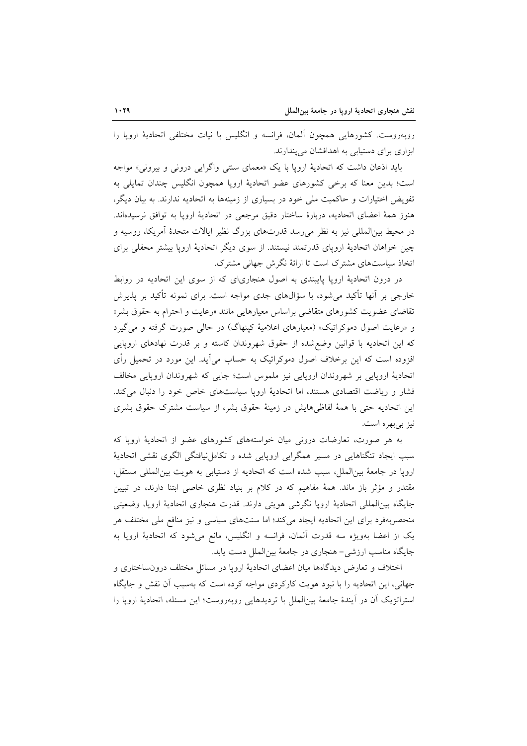روبهروست. كشورهايي همچون آلمان، فرانسه و انگليس با نيات مختلفي اتحاديهٔ اروپا را ابزاری برای دستیابی به اهدافشان می پندارند.

باید اذعان داشت که اتحادیهٔ اروپا با یک «معمای سنتی واگرایی درونی و بیرونی» مواجه است؛ بدین معنا که برخی کشورهای عضو اتحادیهٔ اروپا همچون انگلیس چندان تمایلی به تفویض اختیارات و حاکمیت ملی خود در بسیاری از زمینهها به اتحادیه ندارند. به بیان دیگر، هنوز همهٔ اعضای اتحادیه، دربارهٔ ساختار دقیق مرجعی در اتحادیهٔ اروپا به توافق نرسیدهاند. در محیط بینالمللی نیز به نظر می رسد قدرتهای بزرگ نظیر ایالات متحدهٔ آمریکا، روسیه و چین خواهان اتحادیهٔ اروپای قدرتمند نیستند. از سوی دیگر اتحادیهٔ اروپا بیشتر محفلی برای اتخاذ سیاستهای مشترک است تا ارائهٔ نگرش جهانی مشترک.

در درون اتحادیهٔ اروپا پایبندی به اصول هنجاریای که از سوی این اتحادیه در روابط خارجی بر آنها تأکید می شود، با سؤالهای جدی مواجه است. برای نمونه تأکید بر پذیرش تقاضای عضویت کشورهای متقاضی براساس معیارهایی مانند «رعایت و احترام به حقوق بشر» و «رعایت اصول دموکراتیک» (معیارهای اعلامیهٔ کپنهاگ) در حال<sub>ی</sub> صورت گرفته و میگیرد که این اتحادیه با قوانین وضع شده از حقوق شهروندان کاسته و بر قدرت نهادهای اروپایی افزوده است که این برخلاف اصول دموکراتیک به حساب میآید. این مورد در تحمیل رأی اتحادیهٔ اروپایی بر شهروندان اروپایی نیز ملموس است؛ جایی که شهروندان اروپایی مخالف فشار و ریاضت اقتصادی هستند، اما اتحادیهٔ اروپا سیاستهای خاص خود را دنبال میکند. این اتحادیه حتی با همهٔ لفاظیهایش در زمینهٔ حقوق بشر، از سیاست مشترک حقوق بشری نيز بي بهره است.

به هر صورت، تعارضات درونی میان خواستههای کشورهای عضو از اتحادیهٔ اروپا که سبب ایجاد تنگناهایی در مسیر همگرایی اروپایی شده و تکامل نیافتگی الگوی نقشی اتحادیهٔ اروپا در جامعهٔ بینالملل، سبب شده است که اتحادیه از دستیابی به هویت بینالمللی مستقل، مقتدر و مؤثر باز ماند. همهٔ مفاهیم که در کلام بر بنیاد نظری خاصی ابتنا دارند، در تبیین جايگاه بين المللي اتحاديۀ ارويا نگرشي هويتي دارند. قدرت هنجاري اتحاديۀ ارويا، وضعيتي منحصربهفرد برای این اتحادیه ایجاد میکند؛ اما سنتهای سیاسی و نیز منافع ملی مختلف هر یک از اعضا بهویژه سه قدرت آلمان، فرانسه و انگلیس، مانع می شود که اتحادیهٔ اروپا به جايگاه مناسب ارزشي- هنجاري در جامعهٔ بينالملل دست يابد.

اختلاف و تعارض دیدگاهها میان اعضای اتحادیهٔ اروپا در مسائل مختلف درونساختاری و جهانی، این اتحادیه را با نبود هویت کارکردی مواجه کرده است که بهسبب أن نقش و جایگاه استراتژیک آن در آیندهٔ جامعهٔ بین|لملل با تردیدهایی روبهروست؛ این مسئله، اتحادیهٔ اروپا را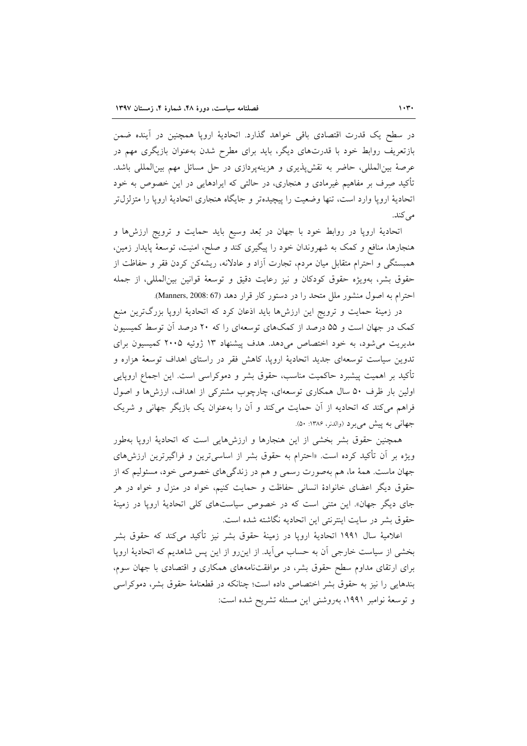در سطح یک قدرت اقتصادی باقی خواهد گذارد. اتحادیهٔ اروپا همچنین در آینده ضمن بازتعریف روابط خود با قدرتهای دیگر، باید برای مطرح شدن بهعنوان بازیگری مهم در عرصهٔ بینالمللی، حاضر به نقش،نیری و هزینهپردازی در حل مسائل مهم بینالمللی باشد. تأکید صِرف بر مفاهیم غیرمادی و هنجاری، در حالتی که ایرادهایی در این خصوص به خود اتحادیهٔ اروپا وارد است، تنها وضعیت را پیچیدهتر و جایگاه هنجاری اتحادیهٔ اروپا را متزلزل تر مي کند.

اتحادیهٔ اروپا در روابط خود با جهان در بُعد وسیع باید حمایت و ترویج ارزشها و هنجارها، منافع و کمک به شهروندان خود را پیگیری کند و صلح، امنیت، توسعهٔ پایدار زمین، همبستگی و احترام متقابل میان مردم، تجارت آزاد و عادلانه، ریشهکن کردن فقر و حفاظت از حقوق بشر، بهويژه حقوق كودكان و نيز رعايت دقيق و توسعهٔ قوانين بينالمللي، از جمله احترام به اصول منشور ملل متحد را در دستور كار قرار دهد (Manners, 2008: 67).

در زمینهٔ حمایت و ترویج این ارزشها باید اذعان کرد که اتحادیهٔ اروپا بزرگترین منبع کمک در جهان است و ۵۵ درصد از کمکهای توسعهای را که ۲۰ درصد آن توسط کمیسیون مدیریت می شود، به خود اختصاص می دهد. هدف پیشنهاد ۱۳ ژوئیه ۲۰۰۵ کمیسیون برای تدوین سیاست توسعهای جدید اتحادیهٔ اروپا، کاهش فقر در راستای اهداف توسعهٔ هزاره و تأکید بر اهمیت پیشبرد حاکمیت مناسب، حقوق بشر و دموکراسی است. این اجماع اروپایی اولین بار ظرف ۵۰ سال همکاری توسعهای، چارچوب مشترکی از اهداف، ارزشها و اصول فراهم می کند که اتحادیه از آن حمایت می کند و آن را بهعنوان یک بازیگر جهانی و شریک جهاني به پيش مي برد (والدنر، ۱۳۸۶: ۵۰).

همچنین حقوق بشر بخشی از این هنجارها و ارزشهایی است که اتحادیهٔ اروپا بهطور ویژه بر آن تأکید کرده است. «احترام به حقوق بشر از اساسیترین و فراگیرترین ارزشهای جهان ماست. همهٔ ما، هم بهصورت رسمی و هم در زندگیهای خصوصی خود، مسئولیم که از حقوق دیگر اعضای خانوادهٔ انسانی حفاظت و حمایت کنیم، خواه در منزل و خواه در هر جای دیگر جهان». این متنی است که در خصوص سیاستهای کلی اتحادیهٔ اروپا در زمینهٔ حقوق بشر در سایت اینترنتی این اتحادیه نگاشته شده است.

اعلاميهٔ سال ۱۹۹۱ اتحاديهٔ ارويا در زمينهٔ حقوق بشر نيز تأكيد ميكند كه حقوق بشر بخشی از سیاست خارجی آن به حساب می آید. از این رو از این پس شاهدیم که اتحادیهٔ اروپا برای ارتقای مداوم سطح حقوق بشر، در موافقتنامههای همکاری و اقتصادی با جهان سوم، بندهایی را نیز به حقوق بشر اختصاص داده است؛ چنانکه در قطعنامهٔ حقوق بشر، دموکراسی و توسعهٔ نوامبر ۱۹۹۱، بهروشنی این مسئله تشریح شده است: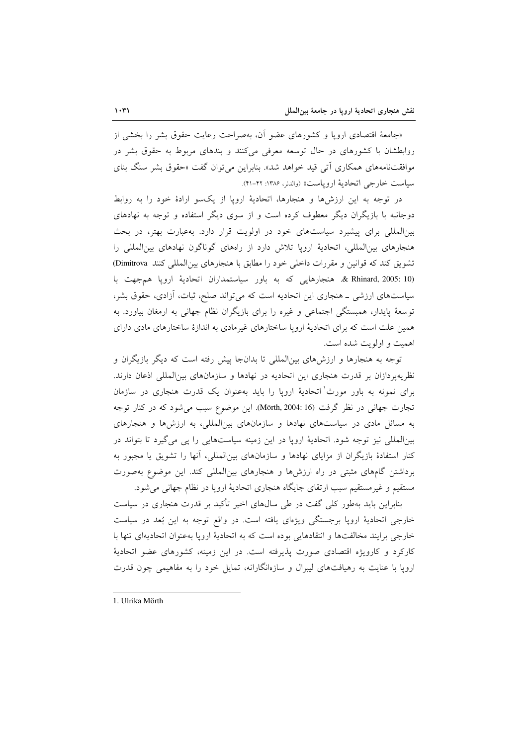«جامعهٔ اقتصادی اروپا و کشورهای عضو آن، بهصراحت رعایت حقوق بشر را بخشی از روابطشان با کشورهای در حال توسعه معرفی میکنند و بندهای مربوط به حقوق بشر در موافقتنامههای همکاری اٌتی قید خواهد شد». بنابراین می توان گفت «حقوق بشر سنگ بنای سياست خارجي اتحادية اروياست» (والدنر، ۱۳۸۶: ۴۲-۴۱).

در توجه به این ارزشها و هنجارها، اتحادیهٔ اروپا از یکسو ارادهٔ خود را به روابط دوجانبه با بازیگران دیگر معطوف کرده است و از سوی دیگر استفاده و توجه به نهادهای بینالمللی برای پیشبرد سیاستهای خود در اولویت قرار دارد. به عبارت بهتر، در بحث هنجارهای بینالمللی، اتحادیهٔ اروپا تلاش دارد از راههای گوناگون نهادهای بین المللی را تشويق كند كه قوانين و مقررات داخلي خود را مطابق با هنجارهاي بين المللي كنند Dimitrova & Rhinard, 2005: 10. هنجارهايي كه به باور سياستمداران اتحادية ارويا همجهت با سیاستهای ارزشی ـ هنجاری این اتحادیه است که می تواند صلح، ثبات، آزادی، حقوق بشر، توسعهٔ پایدار، همبستگی اجتماعی و غیره را برای بازیگران نظام جهانی به ارمغان بیاورد. به همین علت است که برای اتحادیهٔ اروپا ساختارهای غیرمادی به اندازهٔ ساختارهای مادی دارای اهميت و اولويت شده است.

توجه به هنجارها و ارزشهای بین|لمللی تا بدانجا پیش رفته است که دیگر بازیگران و نظریهپردازان بر قدرت هنجاری این اتحادیه در نهادها و سازمانهای بینالمللی اذعان دارند. برای نمونه به باور مورث ٰاتحادیهٔ اروپا را باید بهعنوان یک قدرت هنجاری در سازمان تجارت جهانی در نظر گرفت (Mörth, 2004: 16). این موضوع سبب می شود که در کنار توجه به مسائل مادی در سیاستهای نهادها و سازمانهای بین المللی، به ارزشها و هنجارهای بینالمللی نیز توجه شود. اتحادیهٔ اروپا در این زمینه سیاستهایی را پی میگیرد تا بتواند در کنار استفادهٔ بازیگران از مزایای نهادها و سازمانهای بین|لمللی، آنها را تشویق یا مجبور به برداشتن گامهای مثبتی در راه ارزشها و هنجارهای بین المللی کند. این موضوع بهصورت مستقیم و غیرمستقیم سبب ارتقای جایگاه هنجاری اتحادیهٔ اروپا در نظام جهانی می شود.

بنابراین باید بهطور کلی گفت در طی سالهای اخیر تأکید بر قدرت هنجاری در سیاست خارجي اتحاديهٔ ارويا برجستگي ويژهاي يافته است. در واقع توجه به اين بُعد در سياست خارجي برايند مخالفتها و انتقادهايي بوده است كه به اتحاديهٔ ارويا بهعنوان اتحاديهاي تنها با کارکرد و کارویژه اقتصادی صورت پذیرفته است. در این زمینه، کشورهای عضو اتحادیهٔ اروپا با عنایت به رهیافتهای لیبرال و سازهانگارانه، تمایل خود را به مفاهیمی چون قدرت

1. Ulrika Mörth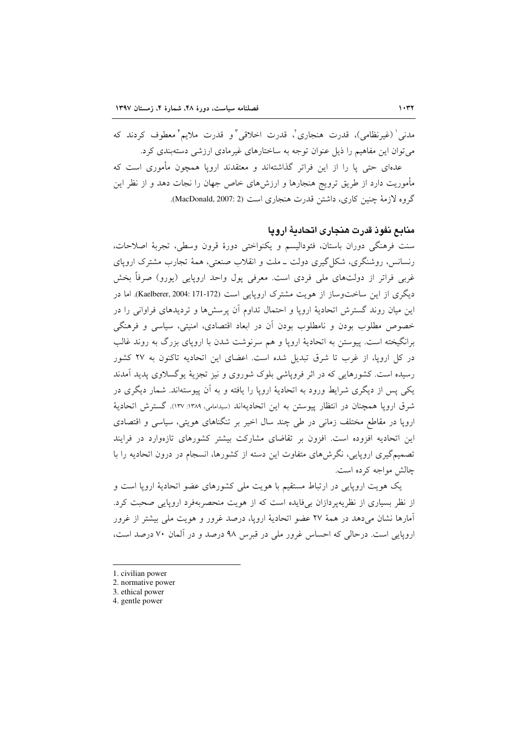مدني ٰ (غيرنظامي)، قدرت هنجاري ؒ، قدرت اخلاقي ؒ و قدرت ملايم ٗ معطوف کردند که می توان این مفاهیم را ذیل عنوان توجه به ساختارهای غیرمادی ارزشی دستهبندی کرد. عدهای حتی یا را از این فراتر گذاشتهاند و معتقدند اروپا همچون مأموری است که مأموریت دارد از طریق ترویج هنجارها و ارزشهای خاص جهان را نجات دهد و از نظر این گروه لازمهٔ چنین کاری، داشتن قدرت هنجاری است (MacDonald, 2007: 2).

منابع نفوذ قدرت هنجاري اتحادية ارويا

سنت فرهنگي دوران باستان، فئوداليسم و يكنواختي دورهٔ قرون وسطى، تجربهٔ اصلاحات، رنسانس، روشنگری، شکل گیری دولت ــ ملت و انقلاب صنعتی، همهٔ تجارب مشترک اروپای غربی فراتر از دولتهای ملی فردی است. معرفی پول واحد اروپایی (پورو) صرفاً بخش دیگری از این ساختوساز از هویت مشترک اروپایی است (Kaelberer, 2004: 171-172). اما در این میان روند گسترش اتحادیهٔ اروپا و احتمال تداوم آن پرسشها و تردیدهای فراوانی را در خصوص مطلوب بودن و نامطلوب بودن آن در ابعاد اقتصادي، امنیتي، سیاسی و فرهنگی برانگیخته است. پیوستن به اتحادیهٔ اروپا و هم سرنوشت شدن با اروپای بزرگ به روند غالب در کل اروپا، از غرب تا شرق تبدیل شده است. اعضای این اتحادیه تاکنون به ۲۷ کشور رسیده است. کشورهایی که در اثر فرویاشی بلوک شوروی و نیز تجزیهٔ پوگسلاوی پدید آمدند یکی پس از دیگری شرایط ورود به اتحادیهٔ اروپا را یافته و به آن پیوستهاند. شمار دیگری در شرق اروپا همچنان در انتظار پیوستن به این اتحادیهاند (سیدامامی، ۱۳۸۹: ۱۳۷). گسترش اتحادیهٔ اروپا در مقاطع مختلف زمانی در طی چند سال اخیر بر تنگناهای هویتی، سیاسی و اقتصادی این اتحادیه افزوده است. افزون بر تقاضای مشارکت بیشتر کشورهای تازهوارد در فرایند تصمیمگیری اروپایی، نگرش۵های متفاوت این دسته از کشورها، انسجام در درون اتحادیه را با چالش مواجه کرده است.

یک هویت اروپایی در ارتباط مستقیم با هویت ملی کشورهای عضو اتحادیهٔ اروپا است و از نظر بسیاری از نظریهپردازان بیفایده است که از هویت منحصربهفرد اروپایی صحبت کرد. آمارها نشان می،دهد در همهٔ ۲۷ عضو اتحادیهٔ ارویا، درصد غرور و هویت ملی بیشتر از غرور اروپایی است. درحالی که احساس غرور ملی در قبرس ۹۸ درصد و در آلمان ۷۰ درصد است،

<sup>1.</sup> civilian power

<sup>2.</sup> normative power

<sup>3.</sup> ethical power

<sup>4.</sup> gentle power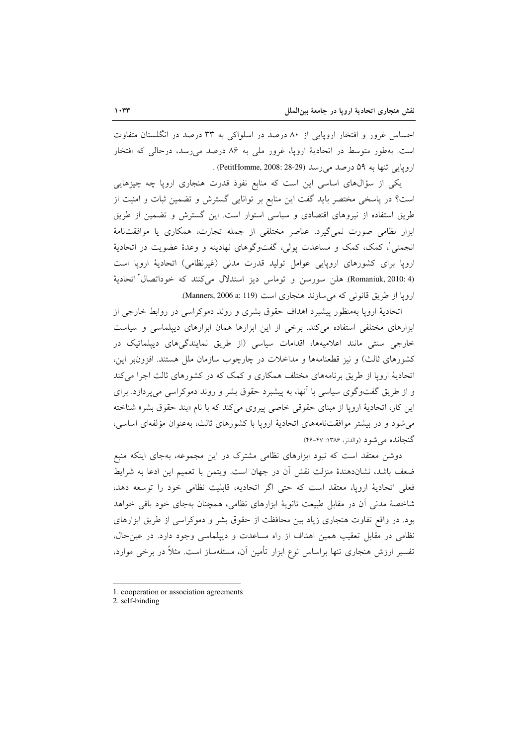احساس غرور و افتخار اروپایی از ۸۰ درصد در اسلواکی به ۳۳ درصد در انگلستان متفاوت است. بهطور متوسط در اتحادیهٔ اروپا، غرور ملی به ۸۶ درصد می رسد، درحالی که افتخار اروپايي تنها به ۵۹ درصد مي رسد (PetitHomme, 2008: 28-29) .

یکی از سؤالهای اساسی این است که منابع نفوذ قدرت هنجاری اروپا چه چیزهایی است؟ در پاسخی مختصر باید گفت این منابع بر توانایی گسترش و تضمین ثبات و امنیت از طریق استفاده از نیروهای اقتصادی و سیاسی استوار است. این گسترش و تضمین از طریق ابزار نظامی صورت نمیگیرد. عناصر مختلفی از جمله تجارت، همکاری یا موافقتنامهٔ انجمنی'، کمک، کمک و مساعدت پولی، گفتوگوهای نهادینه و وعدهٔ عضویت در اتحادیهٔ اروپا برای کشورهای اروپایی عوامل تولید قدرت مدنی (غیرنظامی) اتحادیهٔ اروپا است (Romaniuk, 2010: 4). هلن سورسن و توماس ديز استدلال مي كنند كه خوداتصال اتحاديهٔ ارويا از طريق قانوني كه مي سازند هنجاري است (Manners, 2006 a: 119).

اتحادیهٔ اروپا بهمنظور پیشبرد اهداف حقوق بشری و روند دموکراسی در روابط خارجی از ابزارهای مختلفی استفاده می کند. برخی از این ابزارها همان ابزارهای دیپلماسی و سیاست خارجی سنتی مانند اعلامیهها، اقدامات سیاسی (از طریق نمایندگیهای دیپلماتیک در کشورهای ثالث) و نیز قطعنامهها و مداخلات در چارچوب سازمان ملل هستند. افزون بر این، اتحادیهٔ اروپا از طریق برنامههای مختلف همکاری و کمک که در کشورهای ثالث اجرا میکند و از طریق گفتوگوی سیاسی با آنها، به پیشبرد حقوق بشر و روند دموکراسی میپردازد. برای این کار، اتحادیهٔ اروپا از مبنای حقوقی خاصی پیروی میکند که با نام «بند حقوق بشر» شناخته می شود و در بیشتر موافقتنامههای اتحادیهٔ اروپا با کشورهای ثالث، بهعنوان مؤلفهای اساسی، گنجانده می شود (والدنر، ۱۳۸۶: ۴۷-۴۶).

دوشن معتقد است که نبود ابزارهای نظامی مشترک در این مجموعه، بهجای اینکه منبع ضعف باشد، نشاندهندهٔ منزلت نقش آن در جهان است. ویتمن با تعمیم این ادعا به شرایط فعلی اتحادیهٔ اروپا، معتقد است که حتی اگر اتحادیه، قابلیت نظامی خود را توسعه دهد، شاخصهٔ مدنی آن در مقابل طبیعت ثانویهٔ ابزارهای نظامی، همچنان بهجای خود باقی خواهد بود. در واقع تفاوت هنجاری زیاد بین محافظت از حقوق بشر و دموکراسی از طریق ابزارهای نظامی در مقابل تعقیب همین اهداف از راه مساعدت و دیپلماسی وجود دارد. در عین حال، تفسیر ارزش هنجاری تنها براساس نوع ابزار تأمین آن، مسئلهساز است. مثلاً در برخی موارد،

<sup>1.</sup> cooperation or association agreements

<sup>2.</sup> self-binding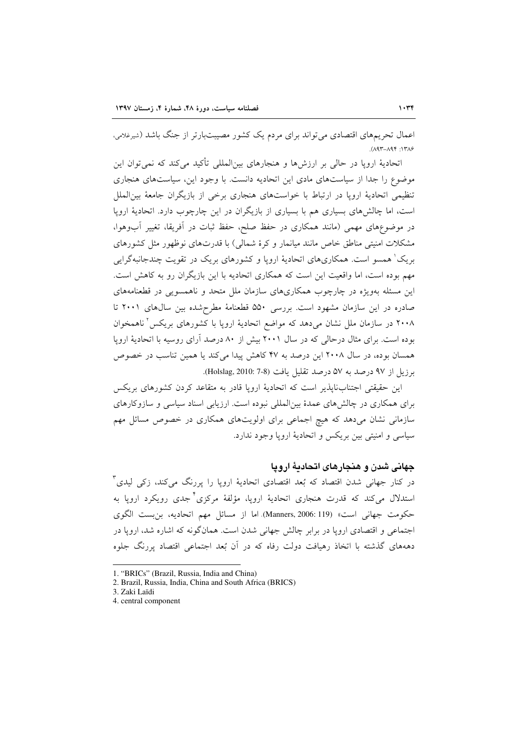اعمال تحریمهای اقتصادی می تواند برای مردم یک کشور مصیبتبارتر از جنگ باشد (شیرغلامی،  $(197 - 197)$ 

اتحادیهٔ اروپا در حالی بر ارزشها و هنجارهای بین|لمللی تأکید میکند که نمی توان این موضوع را جدا از سیاستهای مادی این اتحادیه دانست. با وجود این، سیاستهای هنجاری تنظیمی اتحادیهٔ اروپا در ارتباط با خواستهای هنجاری برخی از بازیگران جامعهٔ بین|لملل است، اما چالشهای بسیاری هم با بسیاری از بازیگران در این چارچوب دارد. اتحادیهٔ اروپا در موضوعهای مهمی (مانند همکاری در حفظ صلح، حفظ ثبات در آفریقا، تغییر آبوهوا، مشکلات امنیتی مناطق خاص مانند میانمار و کرهٔ شمالی) با قدرتهای نوظهور مثل کشورهای بریک' همسو است. همکاریهای اتحادیهٔ اروپا و کشورهای بریک در تقویت چندجانبهگرایی مهم بوده است، اما واقعیت این است که همکاری اتحادیه با این بازیگران رو به کاهش است. این مسئله بهویژه در چارچوب همکاریهای سازمان ملل متحد و ناهمسویی در قطعنامههای صادره در این سازمان مشهود است. بررسی ۵۵۰ قطعنامهٔ مطرحشده بین سالهای ۲۰۰۱ تا ۲۰۰۸ در سازمان ملل نشان میدهد که مواضع اتحادیهٔ اروپا با کشورهای بریکس ٔ ناهمخوان بوده است. برای مثال درحالی که در سال ۲۰۰۱ بیش از ۸۰ درصد آرای روسیه با اتحادیهٔ اروپا همسان بوده، در سال ۲۰۰۸ این درصد به ۴۷ کاهش پیدا می کند یا همین تناسب در خصوص برزيل از ٩٧ درصد به ٥٧ درصد تقليل يافت (8-7 :Holslag, 2010).

این حقیقتی اجتنابنایذیر است که اتحادیهٔ اروپا قادر به متقاعد کردن کشورهای بریکس برای همکاری در چالشهای عمدهٔ بین|لمللی نبوده است. ارزیابی اسناد سیاسی و سازوکارهای سازمانی نشان میدهد که هیچ اجماعی برای اولویتهای همکاری در خصوص مسائل مهم سیاسی و امنیتی بین بریکس و اتحادیهٔ اروپا وجود ندارد.

#### جهانی شدن و هنجارهای اتحادیهٔ اروپا

در کنار جهانی شدن اقتصاد که بُعد اقتصادی اتحادیهٔ اروپا را پررنگ میکند، زک<sub>ی</sub> لیدی <sup>۳</sup> استدلال میکند که قدرت هنجاری اتحادیهٔ اروپا، مؤلفهٔ مرکزی<sup>۲</sup>جدی رویکرد اروپا به حكومت جهاني است» (Manners, 2006: 119). اما از مسائل مهم اتحاديه، بن بست الگوى اجتماعی و اقتصادی اروپا در برابر چالش جهانی شدن است. همانگونه که اشاره شد، اروپا در دهههای گذشته با اتخاذ رهیافت دولت رفاه که در آن بُعد اجتماعی اقتصاد پررنگ جلوه

<sup>1. &</sup>quot;BRICs" (Brazil, Russia, India and China)

<sup>2.</sup> Brazil, Russia, India, China and South Africa (BRICS)

<sup>3.</sup> Zaki Laïdi

<sup>4.</sup> central component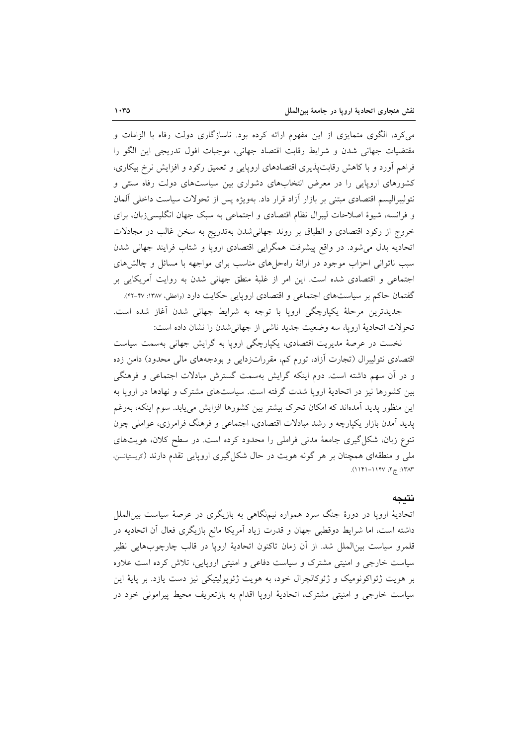می کرد، الگوی متمایزی از این مفهوم ارائه کرده بود. ناسازگاری دولت رفاه با الزامات و مقتضیات جهانی شدن و شرایط رقابت اقتصاد جهانی، موجبات افول تدریجی این الگو را فراهم أورد و با کاهش رقابتپذیری اقتصادهای اروپایی و تعمیق رکود و افزایش نرخ بیکاری، کشورهای اروپایی را در معرض انتخابهای دشواری بین سیاستهای دولت رفاه سنتی و نئوليبراليسم اقتصادي مبتنى بر بازار أزاد قرار داد. بهويژه پس از تحولات سياست داخلي ألمان و فرانسه، شیوهٔ اصلاحات لیبرال نظام اقتصادی و اجتماعی به سبک جهان انگلیسیزبان، برای خروج از رکود اقتصادی و انطباق بر روند جهانیشدن بهتدریج به سخن غالب در مجادلات اتحادیه بدل می شود. در واقع پیشرفت همگرایی اقتصادی اروپا و شتاب فرایند جهانی شدن سبب ناتوانی احزاب موجود در ارائهٔ راهحلهای مناسب برای مواجهه با مسائل و چالشهای اجتماعی و اقتصادی شده است. این امر از غلبهٔ منطق جهانی شدن به روایت آمریکایی بر گفتمان حاکم بر سیاستهای اجتماعی و اقتصادی اروپایی حکایت دارد (واعظی، ۱۳۸۷: ۴۷-۴۲).

جدیدترین مرحلهٔ یکپارچگی اروپا با توجه به شرایط جهانی شدن اَغاز شده است. تحولات اتحادية ارويا، سه وضعيت جديد ناشى از جهاني شدن را نشان داده است:

نخست در عرصهٔ مدیریت اقتصادی، یکپارچگی اروپا به گرایش جهانی بهسمت سیاست اقتصادی نئولیبرال (تجارت أزاد، تورم کم، مقرراتزدایی و بودجههای مالی محدود) دامن زده و در آن سهم داشته است. دوم اینکه گرایش بهسمت گسترش مبادلات اجتماعی و فرهنگی بین کشورها نیز در اتحادیهٔ اروپا شدت گرفته است. سیاستهای مشترک و نهادها در اروپا به این منظور یدید آمدهاند که امکان تحرک بیشتر بین کشورها افزایش می پابد. سوم اینکه، بهرغم پدید آمدن بازار یکپارچه و رشد مبادلات اقتصادی، اجتماعی و فرهنگ فرامرزی، عواملی چون تنوع زبان، شکل گیری جامعهٔ مدنی فراملی را محدود کرده است. در سطح کلان، هویتهای ملی و منطقهای همچنان بر هر گونه هویت در حال شکل گیری اروپایی تقدم دارند (دریستیانسن، ۱۳۸۳: ج ۲، ۱۱۴۷–۱۱۴۱).

#### نتيجه

اتحادیهٔ اروپا در دورهٔ جنگ سرد همواره نیمنگاهی به بازیگری در عرصهٔ سیاست بین|لملل داشته است، اما شرایط دوقطبی جهان و قدرت زیاد آمریکا مانع بازیگری فعال آن اتحادیه در قلمرو سیاست بین|لملل شد. از آن زمان تاکنون اتحادیهٔ اروپا در قالب چارچوبهایی نظیر سیاست خارجی و امنیتی مشترک و سیاست دفاعی و امنیتی اروپایی، تلاش کرده است علاوه بر هويت ژئواكونوميك و ژئوكالچرال خود، به هويت ژئوپوليتيكي نيز دست يازد. بر پايهٔ اين سیاست خارجی و امنیتی مشترک، اتحادیهٔ اروپا اقدام به بازتعریف محیط پیرامونی خود در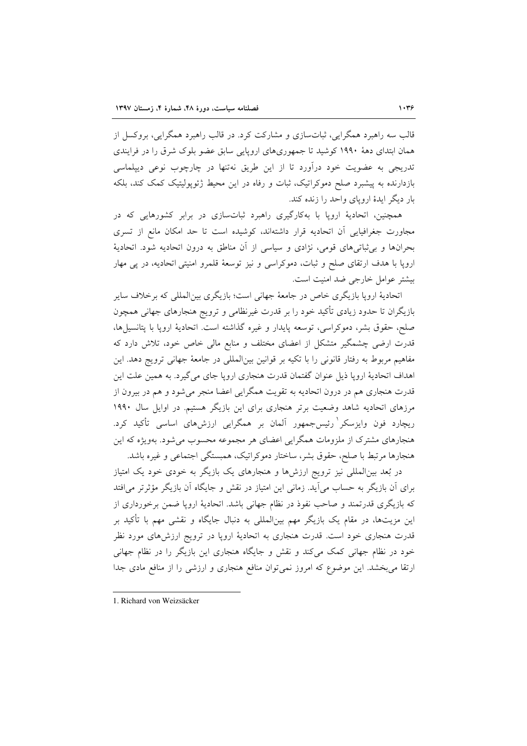قالب سه راهبرد همگرایی، ثباتسازی و مشارکت کرد. در قالب راهبرد همگرایی، بروکسل از همان ابتدای دههٔ ۱۹۹۰ کوشید تا جمهوریهای اروپایی سابق عضو بلوک شرق را در فرایندی تدریجی به عضویت خود درآورد تا از این طریق نهتنها در چارچوب نوعی دیپلماسی بازدارنده به پیشبرد صلح دموکراتیک، ثبات و رفاه در این محیط ژئویولیتیک کمک کند، بلکه بار دیگر ایدهٔ اروپای واحد را زنده کند.

همچنین، اتحادیهٔ اروپا با بهکارگیری راهبرد ثباتسازی در برابر کشورهایی که در مجاورت جغرافیایی آن اتحادیه قرار داشتهاند، کوشیده است تا حد امکان مانع از تسری بحرانها و برتابتی های قومی، نژادی و سیاسی از آن مناطق به درون اتحادیه شود. اتحادیهٔ اروپا با هدف ارتقای صلح و ثبات، دموکراسی و نیز توسعهٔ قلمرو امنیتی اتحادیه، در پی مهار بيشتر عوامل خارجي ضد امنيت است.

اتحادیهٔ اروپا بازیگری خاص در جامعهٔ جهانی است؛ بازیگری بین|لمللی که برخلاف سایر بازیگران تا حدود زیادی تأکید خود را بر قدرت غیرنظامی و ترویج هنجارهای جهانی همچون صلح، حقوق بشر، دموكراسي، توسعه پايدار و غيره گذاشته است. اتحاديهٔ اروپا با پتانسيلها، قدرت ارضی چشمگیر متشکل از اعضای مختلف و منابع مالی خاص خود، تلاش دارد که مفاهیم مربوط به رفتار قانونی را با تکیه بر قوانین بینالمللی در جامعهٔ جهانی ترویج دهد. این اهداف اتحادیهٔ اروپا ذیل عنوان گفتمان قدرت هنجاری اروپا جای میگیرد. به همین علت این قدرت هنجاری هم در درون اتحادیه به تقویت همگرایی اعضا منجر میشود و هم در بیرون از مرزهای اتحادیه شاهد وضعیت برتر هنجاری برای این بازیگر هستیم. در اوایل سال ۱۹۹۰ ریچارد فون وایزسکر ٰرئیسجمهور آلمان بر همگرایی ارزشهای اساسی تأکید کرد. هنجارهای مشترک از ملزومات همگرایی اعضای هر مجموعه محسوب میشود. بهویژه که این هنجارها مرتبط با صلح، حقوق بشر، ساختار دموكراتيك، همبستگي اجتماعي و غيره باشد.

در بُعد بین|لمللی نیز ترویج ارزشها و هنجارهای یک بازیگر به خودی خود یک امتیاز برای آن بازیگر به حساب می آید. زمانی این امتیاز در نقش و جایگاه آن بازیگر مؤثرتر می|فتد که بازیگری قدرتمند و صاحب نفوذ در نظام جهانی باشد. اتحادیهٔ اروپا ضمن برخورداری از این مزیتها، در مقام یک بازیگر مهم بین|لمللی به دنبال جایگاه و نقشی مهم با تأکید بر قدرت هنجاری خود است. قدرت هنجاری به اتحادیهٔ اروپا در ترویج ارزشهای مورد نظر خود در نظام جهانی کمک میکند و نقش و جایگاه هنجاری این بازیگر را در نظام جهانی ارتقا می بخشد. این موضوع که امروز نمیتوان منافع هنجاری و ارزشی را از منافع مادی جدا

<sup>1.</sup> Richard von Weizsäcker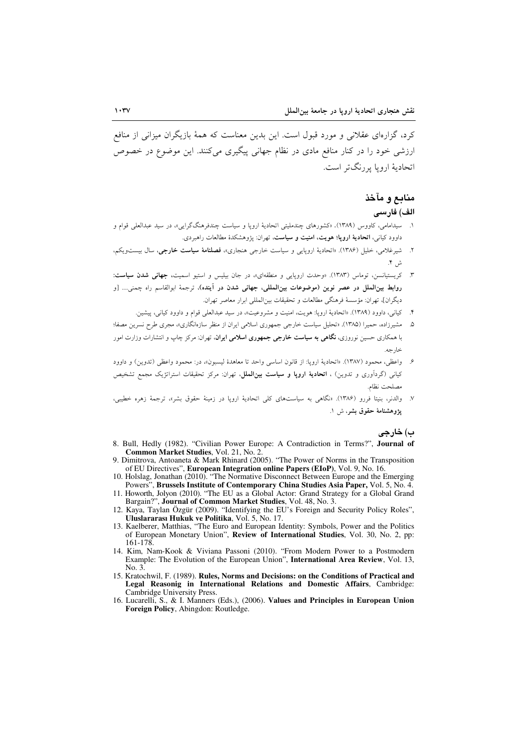کرد، گزارهای عقلانی و مورد قبول است. این بدین معناست که همهٔ بازیگران میزانی از منافع ارزشم ,خود را در کنار منافع مادی در نظام جهانی پیگیری میکنند. این موضوع در خصوص اتحادیهٔ اروپا پررنگ تر است.

## منابع و مآخذ الف) فارسى

- ۱. سیدامامی، کاووس (۱۳۸۹). «کشورهای چندملیتی اتحادیهٔ اروپا و سیاست چندفرهنگگرایی»، در سید عبدالعلی قوام و داوود کیانی، ا<mark>تحادیهٔ اروپا؛ هویت، امنیت و سیاست</mark>، تهران: پژوهشکدهٔ مطالعات راهبردی.
- ۲. شیرغلامی، خلیل (۱۳۸۶). «اتحادیهٔ اروپایی و سیاست خارجی هنجاری»، **فصلنامهٔ سیاست خارجی**، سال بیستویکم،
- ۳. کریستیانسن، توماس (۱۳۸۳). «وحدت اروپایی و منطقهای»، در جان بیلیس و استیو اسمیت، **جهانی شدن سیاست**: روابط بین(لملل در عصر نوین (موضوعات بین(لمللی، جهانی شدن در آینده)، ترجمهٔ ابوالقاسم راه جمنی… [و ديگران]، تهران: مؤسسهٔ فرهنگي مطالعات و تحقيقات بينالمللي ابرار معاصر تهران.
	- ۴. كياني، داوود (۱۳۸۹). «اتحاديهٔ ارويا: هويت، امنيت و مشروعيت»، در سيد عبدالعلم قوام و داوود كياني، پيشين.
- ۵. مشیرزاده، حمیرا (۱۳۸۵). «تحلیل سیاست خارجی جمهوری اسلامی ایران از منظر سازهانگاری»، مجری طرح نسرین مصفا؛ با همکاری حسین نوروزی، **نگاهی به سیاست خارجی جمهوری اسلامی ایران**، تهران: مرکز چاپ و انتشارات وزارت امور خا, حه.
- ۶. واعظى، محمود (١٣٨٧). «اتحادية اروپا: از قانون اساسي واحد تا معاهدة ليسبون»، در: محمود واعظى (تدوين) و داوود کیان<sub>ی</sub> (گردآوری و تدوین) ، **اتحادیهٔ ارویا و سیاست بینالملل**، تهران: مرکز تحقیقات استراتژیک مجمع تشخیص مصلحت نظام.
- ٧. والدنر، بنیتا فررو (١٣٨۶). «نگاهی به سیاستهای کلی اتحادیهٔ ارویا در زمینهٔ حقوق بشر»، ترجمهٔ زهره خطیبی، يژوهشنامهٔ حقوق بشر، ش ۱.

#### ب) خارجي

- 8. Bull, Hedly (1982). "Civilian Power Europe: A Contradiction in Terms?", Journal of Common Market Studies, Vol. 21, No. 2.
- 9. Dimitrova, Antoaneta & Mark Rhinard (2005). "The Power of Norms in the Transposition of EU Directives", European Integration online Papers (EIoP), Vol. 9, No. 16.
- 10. Holslag, Jonathan (2010). "The Normative Disconnect Between Europe and the Emerging Powers", Brussels Institute of Contemporary China Studies Asia Paper, Vol. 5, No. 4.
- 11. Howorth, Jolyon (2010). "The EU as a Global Actor: Grand Strategy for a Global Grand Bargain?", Journal of Common Market Studies, Vol. 48, No. 3.
- 12. Kaya, Taylan Özgür (2009). "Identifying the EU's Foreign and Security Policy Roles". Uluslararası Hukuk ve Politika, Vol. 5, No. 17.
- 13. Kaelberer, Matthias, "The Euro and European Identity: Symbols, Power and the Politics of European Monetary Union", Review of International Studies, Vol. 30, No. 2, pp: 161-178.
- 14. Kim, Nam-Kook & Viviana Passoni (2010). "From Modern Power to a Postmodern Example: The Evolution of the European Union", International Area Review, Vol. 13,  $No. 3.$
- 15. Kratochwil, F. (1989). Rules, Norms and Decisions: on the Conditions of Practical and Legal Reasonig in International Relations and Domestic Affairs, Cambridge: Cambridge University Press.
- 16. Lucarelli, S., & I. Manners (Eds.), (2006). Values and Principles in European Union Foreign Policy, Abingdon: Routledge.